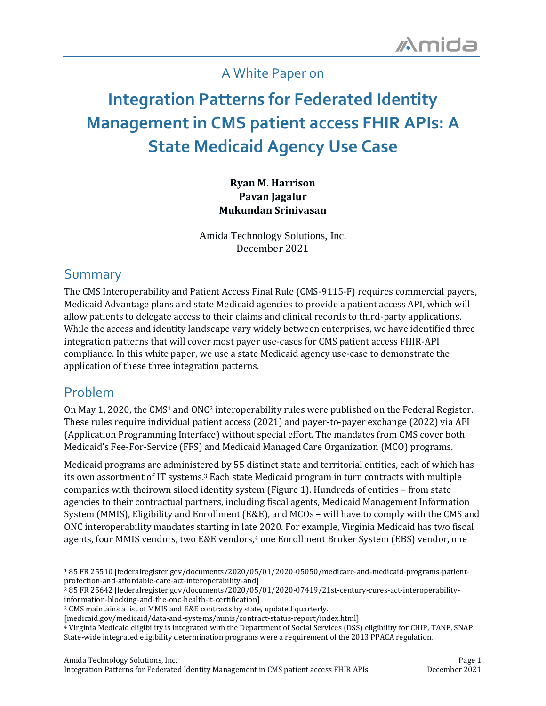### A White Paper on

# **Integration Patterns for Federated Identity Management in CMS patient access FHIR APIs: A State Medicaid Agency Use Case**

#### **Ryan M. Harrison Pavan Jagalur Mukundan Srinivasan**

Amida Technology Solutions, Inc. December 2021

### Summary

The CMS Interoperability and Patient Access Final Rule (CMS-9115-F) requires commercial payers, Medicaid Advantage plans and state Medicaid agencies to provide a patient access API, which will allow patients to delegate access to their claims and clinical records to third-party applications. While the access and identity landscape vary widely between enterprises, we have identified three integration patterns that will cover most payer use-cases for CMS patient access FHIR-API compliance. In this white paper, we use a state Medicaid agency use-case to demonstrate the application of these three integration patterns.

### Problem

On May 1, 2020, the CMS<sup>1</sup> and ONC<sup>2</sup> interoperability rules were published on the Federal Register. These rules require individual patient access (2021) and payer-to-payer exchange (2022) via API (Application Programming Interface) without special effort. The mandates from CMS cover both Medicaid's Fee-For-Service (FFS) and Medicaid Managed Care Organization (MCO) programs.

Medicaid programs are administered by 55 distinct state and territorial entities, each of which has its own assortment of IT systems.<sup>3</sup> Each state Medicaid program in turn contracts with multiple companies with theirown siloed identity system (Figure 1). Hundreds of entities – from state agencies to their contractual partners, including fiscal agents, Medicaid Management Information System (MMIS), Eligibility and Enrollment (E&E), and MCOs – will have to comply with the CMS and ONC interoperability mandates starting in late 2020. For example, Virginia Medicaid has two fiscal agents, four MMIS vendors, two E&E vendors,<sup>4</sup> one Enrollment Broker System (EBS) vendor, one

<sup>1</sup> 85 FR 25510 [federalregister.gov/documents/2020/05/01/2020-05050/medicare-and-medicaid-programs-patientprotection-and-affordable-care-act-interoperability-and]

<sup>2</sup> 85 FR 25642 [federalregister.gov/documents/2020/05/01/2020-07419/21st-century-cures-act-interoperabilityinformation-blocking-and-the-onc-health-it-certification]

<sup>3</sup> CMS maintains a list of MMIS and E&E contracts by state, updated quarterly.

<sup>[</sup>medicaid.gov/medicaid/data-and-systems/mmis/contract-status-report/index.html]

<sup>4</sup> Virginia Medicaid eligibility is integrated with the Department of Social Services (DSS) eligibility for CHIP, TANF, SNAP. State-wide integrated eligibility determination programs were a requirement of the 2013 PPACA regulation.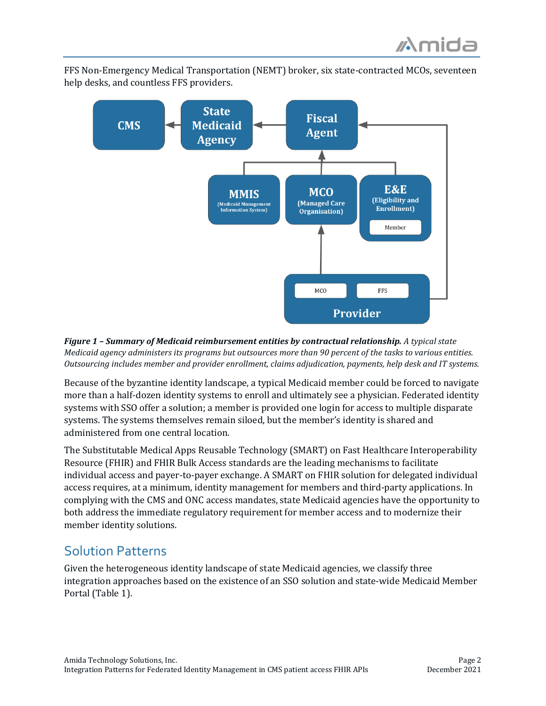FFS Non-Emergency Medical Transportation (NEMT) broker, six state-contracted MCOs, seventeen help desks, and countless FFS providers.



*Figure 1 – Summary of Medicaid reimbursement entities by contractual relationship. A typical state Medicaid agency administers its programs but outsources more than 90 percent of the tasks to various entities. Outsourcing includes member and provider enrollment, claims adjudication, payments, help desk and IT systems.*

Because of the byzantine identity landscape, a typical Medicaid member could be forced to navigate more than a half-dozen identity systems to enroll and ultimately see a physician. Federated identity systems with SSO offer a solution; a member is provided one login for access to multiple disparate systems. The systems themselves remain siloed, but the member's identity is shared and administered from one central location.

The Substitutable Medical Apps Reusable Technology (SMART) on Fast Healthcare Interoperability Resource (FHIR) and FHIR Bulk Access standards are the leading mechanisms to facilitate individual access and payer-to-payer exchange. A SMART on FHIR solution for delegated individual access requires, at a minimum, identity management for members and third-party applications. In complying with the CMS and ONC access mandates, state Medicaid agencies have the opportunity to both address the immediate regulatory requirement for member access and to modernize their member identity solutions.

### Solution Patterns

Given the heterogeneous identity landscape of state Medicaid agencies, we classify three integration approaches based on the existence of an SSO solution and state-wide Medicaid Member Portal (Table 1).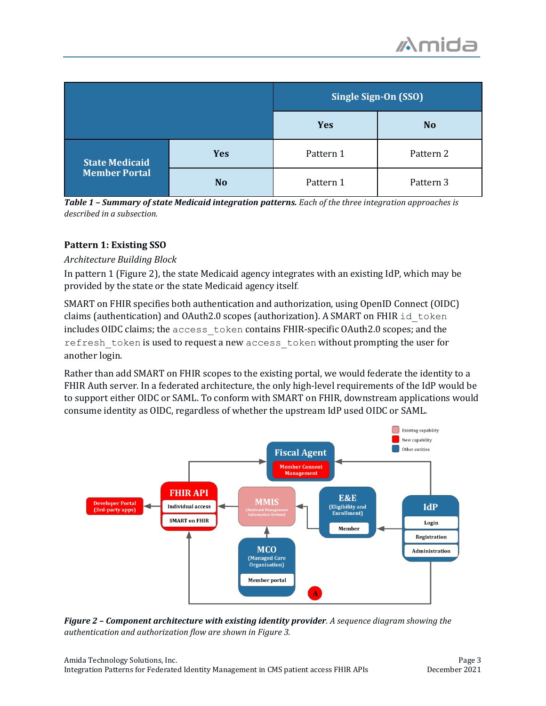|                                               |                | <b>Single Sign-On (SSO)</b> |                |
|-----------------------------------------------|----------------|-----------------------------|----------------|
|                                               |                | <b>Yes</b>                  | N <sub>o</sub> |
| <b>State Medicaid</b><br><b>Member Portal</b> | <b>Yes</b>     | Pattern 1                   | Pattern 2      |
|                                               | N <sub>o</sub> | Pattern 1                   | Pattern 3      |

*Table 1 – Summary of state Medicaid integration patterns. Each of the three integration approaches is described in a subsection.*

#### **Pattern 1: Existing SSO**

#### *Architecture Building Block*

In pattern 1 (Figure 2), the state Medicaid agency integrates with an existing IdP, which may be provided by the state or the state Medicaid agency itself.

SMART on FHIR specifies both authentication and authorization, using OpenID Connect (OIDC) claims (authentication) and OAuth2.0 scopes (authorization). A SMART on FHIR  $id$  token includes OIDC claims; the access\_token contains FHIR-specific OAuth2.0 scopes; and the refresh\_token is used to request a new access\_token without prompting the user for another login.

Rather than add SMART on FHIR scopes to the existing portal, we would federate the identity to a FHIR Auth server. In a federated architecture, the only high-level requirements of the IdP would be to support either OIDC or SAML. To conform with SMART on FHIR, downstream applications would consume identity as OIDC, regardless of whether the upstream IdP used OIDC or SAML.



*Figure 2 – Component architecture with existing identity provider. A sequence diagram showing the authentication and authorization flow are shown in Figure 3.*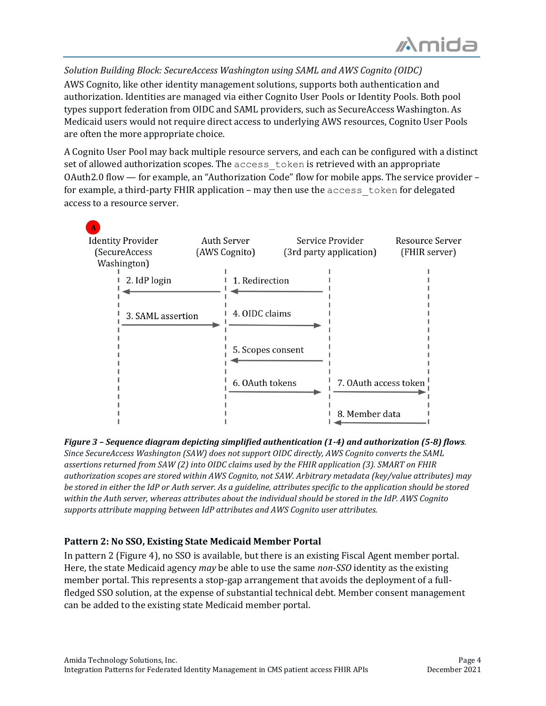*Solution Building Block: SecureAccess Washington using SAML and AWS Cognito (OIDC)* AWS Cognito, like other identity management solutions, supports both authentication and authorization. Identities are managed via either Cognito User Pools or Identity Pools. Both pool types support federation from OIDC and SAML providers, such as SecureAccess Washington. As Medicaid users would not require direct access to underlying AWS resources, Cognito User Pools are often the more appropriate choice.

A Cognito User Pool may back multiple resource servers, and each can be configured with a distinct set of allowed authorization scopes. The access\_token is retrieved with an appropriate OAuth2.0 flow — for example, an "Authorization Code" flow for mobile apps. The service provider – for example, a third-party FHIR application – may then use the access\_token for delegated access to a resource server.



*Figure 3 – Sequence diagram depicting simplified authentication (1-4) and authorization (5-8) flows. Since SecureAccess Washington (SAW) does not support OIDC directly, AWS Cognito converts the SAML assertions returned from SAW (2) into OIDC claims used by the FHIR application (3). SMART on FHIR authorization scopes are stored within AWS Cognito, not SAW. Arbitrary metadata (key/value attributes) may be stored in either the IdP or Auth server. As a guideline, attributes specific to the application should be stored within the Auth server, whereas attributes about the individual should be stored in the IdP. AWS Cognito supports attribute mapping between IdP attributes and AWS Cognito user attributes.*

#### **Pattern 2: No SSO, Existing State Medicaid Member Portal**

In pattern 2 (Figure 4), no SSO is available, but there is an existing Fiscal Agent member portal. Here, the state Medicaid agency *may* be able to use the same *non-SSO* identity as the existing member portal. This represents a stop-gap arrangement that avoids the deployment of a fullfledged SSO solution, at the expense of substantial technical debt. Member consent management can be added to the existing state Medicaid member portal.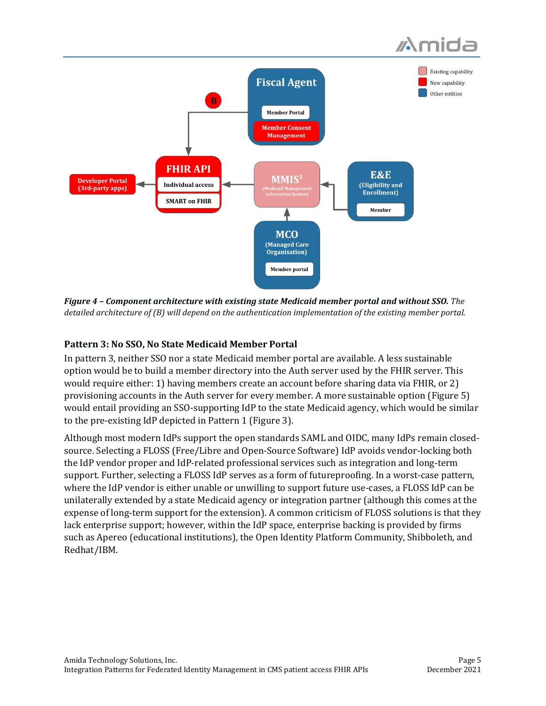



*Figure 4 – Component architecture with existing state Medicaid member portal and without SSO. The detailed architecture of (B) will depend on the authentication implementation of the existing member portal.*

#### **Pattern 3: No SSO, No State Medicaid Member Portal**

In pattern 3, neither SSO nor a state Medicaid member portal are available. A less sustainable option would be to build a member directory into the Auth server used by the FHIR server. This would require either: 1) having members create an account before sharing data via FHIR, or 2) provisioning accounts in the Auth server for every member. A more sustainable option (Figure 5) would entail providing an SSO-supporting IdP to the state Medicaid agency, which would be similar to the pre-existing IdP depicted in Pattern 1 (Figure 3).

Although most modern IdPs support the open standards SAML and OIDC, many IdPs remain closedsource. Selecting a FLOSS (Free/Libre and Open-Source Software) IdP avoids vendor-locking both the IdP vendor proper and IdP-related professional services such as integration and long-term support. Further, selecting a FLOSS IdP serves as a form of futureproofing. In a worst-case pattern, where the IdP vendor is either unable or unwilling to support future use-cases, a FLOSS IdP can be unilaterally extended by a state Medicaid agency or integration partner (although this comes at the expense of long-term support for the extension). A common criticism of FLOSS solutions is that they lack enterprise support; however, within the IdP space, enterprise backing is provided by firms such as Apereo (educational institutions), the Open Identity Platform Community, Shibboleth, and Redhat/IBM.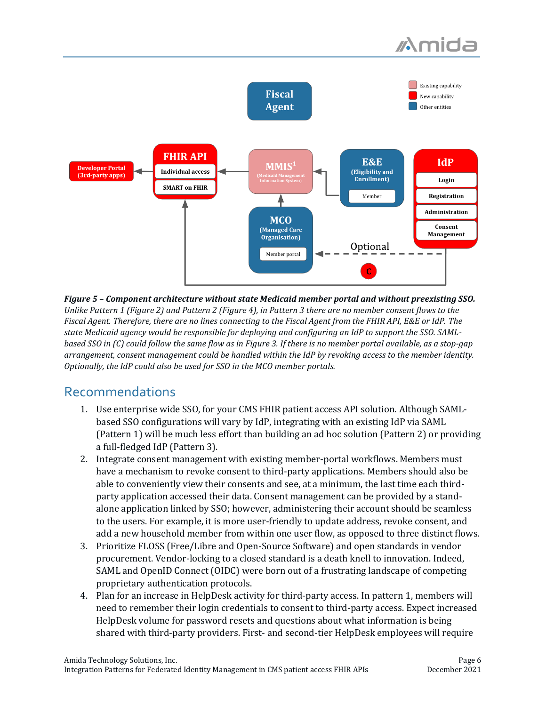

*Figure 5 – Component architecture without state Medicaid member portal and without preexisting SSO. Unlike Pattern 1 (Figure 2) and Pattern 2 (Figure 4), in Pattern 3 there are no member consent flows to the Fiscal Agent. Therefore, there are no lines connecting to the Fiscal Agent from the FHIR API, E&E or IdP. The state Medicaid agency would be responsible for deploying and configuring an IdP to support the SSO. SAMLbased SSO in (C) could follow the same flow as in Figure 3. If there is no member portal available, as a stop-gap arrangement, consent management could be handled within the IdP by revoking access to the member identity. Optionally, the IdP could also be used for SSO in the MCO member portals.*

### Recommendations

- 1. Use enterprise wide SSO, for your CMS FHIR patient access API solution. Although SAMLbased SSO configurations will vary by IdP, integrating with an existing IdP via SAML (Pattern 1) will be much less effort than building an ad hoc solution (Pattern 2) or providing a full-fledged IdP (Pattern 3).
- 2. Integrate consent management with existing member-portal workflows. Members must have a mechanism to revoke consent to third-party applications. Members should also be able to conveniently view their consents and see, at a minimum, the last time each thirdparty application accessed their data. Consent management can be provided by a standalone application linked by SSO; however, administering their account should be seamless to the users. For example, it is more user-friendly to update address, revoke consent, and add a new household member from within one user flow, as opposed to three distinct flows.
- 3. Prioritize FLOSS (Free/Libre and Open-Source Software) and open standards in vendor procurement. Vendor-locking to a closed standard is a death knell to innovation. Indeed, SAML and OpenID Connect (OIDC) were born out of a frustrating landscape of competing proprietary authentication protocols.
- 4. Plan for an increase in HelpDesk activity for third-party access. In pattern 1, members will need to remember their login credentials to consent to third-party access. Expect increased HelpDesk volume for password resets and questions about what information is being shared with third-party providers. First- and second-tier HelpDesk employees will require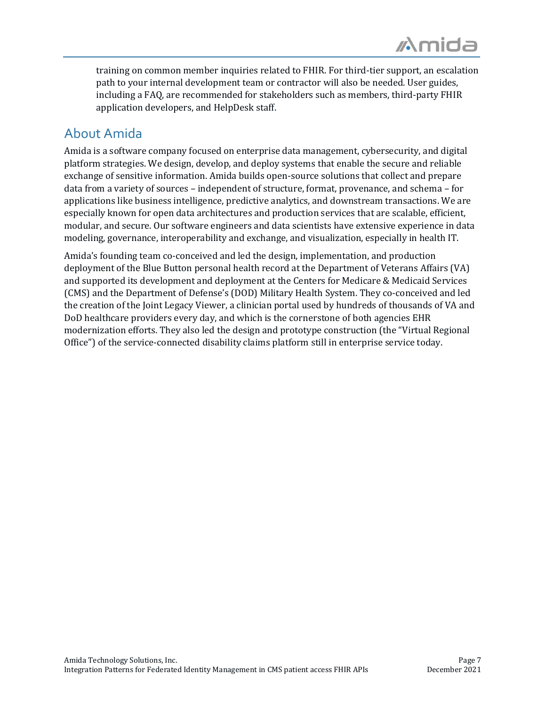training on common member inquiries related to FHIR. For third-tier support, an escalation path to your internal development team or contractor will also be needed. User guides, including a FAQ, are recommended for stakeholders such as members, third-party FHIR application developers, and HelpDesk staff.

### About Amida

Amida is a software company focused on enterprise data management, cybersecurity, and digital platform strategies. We design, develop, and deploy systems that enable the secure and reliable exchange of sensitive information. Amida builds open-source solutions that collect and prepare data from a variety of sources – independent of structure, format, provenance, and schema – for applications like business intelligence, predictive analytics, and downstream transactions. We are especially known for open data architectures and production services that are scalable, efficient, modular, and secure. Our software engineers and data scientists have extensive experience in data modeling, governance, interoperability and exchange, and visualization, especially in health IT.

Amida's founding team co-conceived and led the design, implementation, and production deployment of the Blue Button personal health record at the Department of Veterans Affairs (VA) and supported its development and deployment at the Centers for Medicare & Medicaid Services (CMS) and the Department of Defense's (DOD) Military Health System. They co-conceived and led the creation of the Joint Legacy Viewer, a clinician portal used by hundreds of thousands of VA and DoD healthcare providers every day, and which is the cornerstone of both agencies EHR modernization efforts. They also led the design and prototype construction (the "Virtual Regional Office") of the service-connected disability claims platform still in enterprise service today.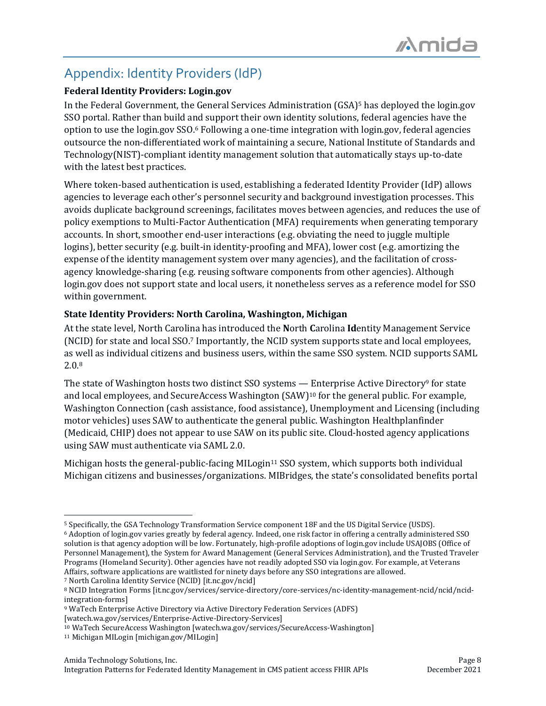## Appendix: Identity Providers (IdP)

#### **Federal Identity Providers: Login.gov**

In the Federal Government, the General Services Administration (GSA)<sup>5</sup> has deployed the login.gov SSO portal. Rather than build and support their own identity solutions, federal agencies have the option to use the login.gov SSO.<sup>6</sup> Following a one-time integration with login.gov, federal agencies outsource the non-differentiated work of maintaining a secure, National Institute of Standards and Technology(NIST)-compliant identity management solution that automatically stays up-to-date with the latest best practices.

Where token-based authentication is used, establishing a federated Identity Provider (IdP) allows agencies to leverage each other's personnel security and background investigation processes. This avoids duplicate background screenings, facilitates moves between agencies, and reduces the use of policy exemptions to Multi-Factor Authentication (MFA) requirements when generating temporary accounts. In short, smoother end-user interactions (e.g. obviating the need to juggle multiple logins), better security (e.g. built-in identity-proofing and MFA), lower cost (e.g. amortizing the expense of the identity management system over many agencies), and the facilitation of crossagency knowledge-sharing (e.g. reusing software components from other agencies). Although login.gov does not support state and local users, it nonetheless serves as a reference model for SSO within government.

#### **State Identity Providers: North Carolina, Washington, Michigan**

At the state level, North Carolina has introduced the **N**orth **C**arolina **Id**entity Management Service (NCID) for state and local SSO.<sup>7</sup> Importantly, the NCID system supports state and local employees, as well as individual citizens and business users, within the same SSO system. NCID supports SAML 2.0.<sup>8</sup>

The state of Washington hosts two distinct SSO systems — Enterprise Active Directory<sup>9</sup> for state and local employees, and SecureAccess Washington (SAW)<sup>10</sup> for the general public. For example, Washington Connection (cash assistance, food assistance), Unemployment and Licensing (including motor vehicles) uses SAW to authenticate the general public. Washington Healthplanfinder (Medicaid, CHIP) does not appear to use SAW on its public site. Cloud-hosted agency applications using SAW must authenticate via SAML 2.0.

Michigan hosts the general-public-facing MILogin<sup>11</sup> SSO system, which supports both individual Michigan citizens and businesses/organizations. MIBridges, the state's consolidated benefits portal

<sup>7</sup> North Carolina Identity Service (NCID) [it.nc.gov/ncid]

<sup>5</sup> Specifically, the GSA Technology Transformation Service component 18F and the US Digital Service (USDS).

<sup>6</sup> Adoption of login.gov varies greatly by federal agency. Indeed, one risk factor in offering a centrally administered SSO solution is that agency adoption will be low. Fortunately, high-profile adoptions of login.gov include USAJOBS (Office of Personnel Management), the System for Award Management (General Services Administration), and the Trusted Traveler Programs (Homeland Security). Other agencies have not readily adopted SSO via login.gov. For example, at Veterans Affairs, software applications are waitlisted for ninety days before any SSO integrations are allowed.

<sup>8</sup> NCID Integration Forms [it.nc.gov/services/service-directory/core-services/nc-identity-management-ncid/ncid/ncidintegration-forms]

<sup>9</sup> WaTech Enterprise Active Directory via Active Directory Federation Services (ADFS)

<sup>[</sup>watech.wa.gov/services/Enterprise-Active-Directory-Services]

<sup>10</sup> WaTech SecureAccess Washington [watech.wa.gov/services/SecureAccess-Washington]

<sup>11</sup> Michigan MILogin [michigan.gov/MILogin]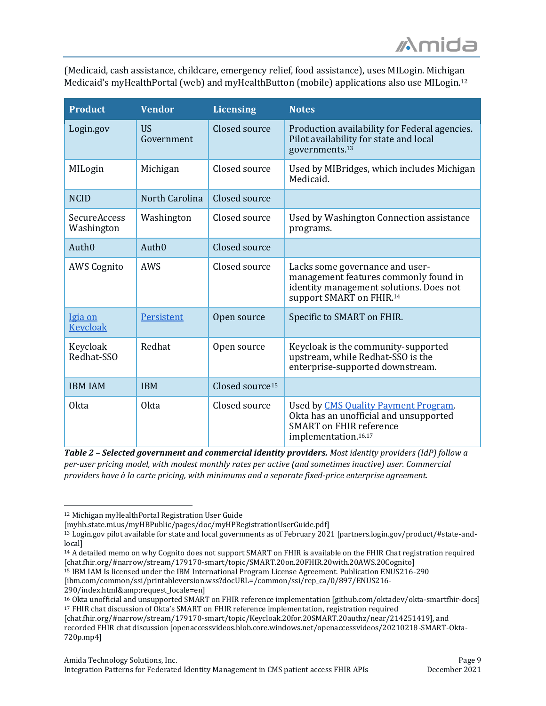(Medicaid, cash assistance, childcare, emergency relief, food assistance), uses MILogin. Michigan Medicaid's myHealthPortal (web) and myHealthButton (mobile) applications also use MILogin.<sup>12</sup>

| <b>Product</b>                    | <b>Vendor</b>           | <b>Licensing</b>            | <b>Notes</b>                                                                                                                                         |
|-----------------------------------|-------------------------|-----------------------------|------------------------------------------------------------------------------------------------------------------------------------------------------|
| Login.gov                         | <b>US</b><br>Government | Closed source               | Production availability for Federal agencies.<br>Pilot availability for state and local<br>governments. <sup>13</sup>                                |
| MILogin                           | Michigan                | Closed source               | Used by MIBridges, which includes Michigan<br>Medicaid.                                                                                              |
| <b>NCID</b>                       | North Carolina          | Closed source               |                                                                                                                                                      |
| <b>SecureAccess</b><br>Washington | Washington              | Closed source               | Used by Washington Connection assistance<br>programs.                                                                                                |
| Auth <sub>0</sub>                 | Auth <sub>0</sub>       | Closed source               |                                                                                                                                                      |
| <b>AWS Cognito</b>                | AWS                     | Closed source               | Lacks some governance and user-<br>management features commonly found in<br>identity management solutions. Does not<br>support SMART on FHIR.14      |
| Igia on<br><b>Keycloak</b>        | Persistent              | Open source                 | Specific to SMART on FHIR.                                                                                                                           |
| Keycloak<br>Redhat-SSO            | Redhat                  | Open source                 | Keycloak is the community-supported<br>upstream, while Redhat-SSO is the<br>enterprise-supported downstream.                                         |
| <b>IBM IAM</b>                    | <b>IBM</b>              | Closed source <sup>15</sup> |                                                                                                                                                      |
| <b>Okta</b>                       | <b>Okta</b>             | Closed source               | Used by CMS Quality Payment Program.<br>Okta has an unofficial and unsupported<br><b>SMART on FHIR reference</b><br>implementation. <sup>16,17</sup> |

*Table 2 – Selected government and commercial identity providers. Most identity providers (IdP) follow a per-user pricing model, with modest monthly rates per active (and sometimes inactive) user. Commercial providers have à la carte pricing, with minimums and a separate fixed-price enterprise agreement.*

<sup>14</sup> A detailed memo on why Cognito does not support SMART on FHIR is available on the FHIR Chat registration required [chat.fhir.org/#narrow/stream/179170-smart/topic/SMART.20on.20FHIR.20with.20AWS.20Cognito]

<sup>15</sup> IBM IAM Is licensed under the IBM International Program License Agreement. Publication ENUS216-290

[ibm.com/common/ssi/printableversion.wss?docURL=/common/ssi/rep\_ca/0/897/ENUS216-

290/index.html&request\_locale=en]

[chat.fhir.org/#narrow/stream/179170-smart/topic/Keycloak.20for.20SMART.20authz/near/214251419], and

<sup>12</sup> Michigan myHealthPortal Registration User Guide

<sup>[</sup>myhb.state.mi.us/myHBPublic/pages/doc/myHPRegistrationUserGuide.pdf]

<sup>13</sup> Login.gov pilot available for state and local governments as of February 2021 [partners.login.gov/product/#state-andlocal]

<sup>16</sup> Okta unofficial and unsupported SMART on FHIR reference implementation [github.com/oktadev/okta-smartfhir-docs] <sup>17</sup> FHIR chat discussion of Okta's SMART on FHIR reference implementation, registration required

recorded FHIR chat discussion [openaccessvideos.blob.core.windows.net/openaccessvideos/20210218-SMART-Okta-720p.mp4]